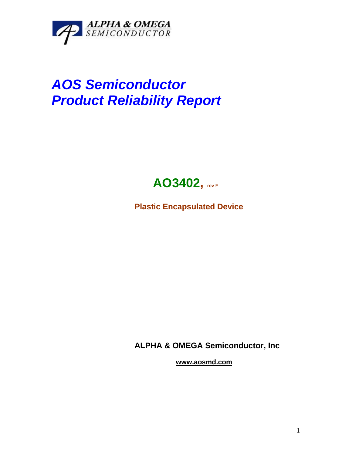

# *AOS Semiconductor Product Reliability Report*



**Plastic Encapsulated Device**

**ALPHA & OMEGA Semiconductor, Inc**

**www.aosmd.com**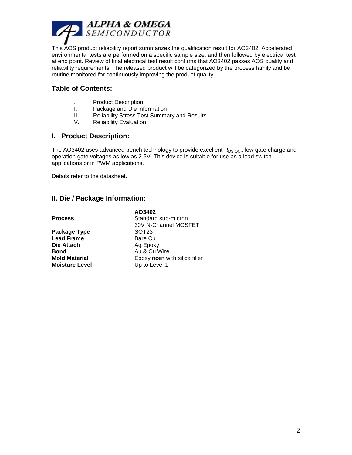

This AOS product reliability report summarizes the qualification result for AO3402. Accelerated environmental tests are performed on a specific sample size, and then followed by electrical test at end point. Review of final electrical test result confirms that AO3402 passes AOS quality and reliability requirements. The released product will be categorized by the process family and be routine monitored for continuously improving the product quality.

# **Table of Contents:**

- I. Product Description
- II. Package and Die information
- III. Reliability Stress Test Summary and Results
- IV. Reliability Evaluation

### **I. Product Description:**

The AO3402 uses advanced trench technology to provide excellent  $R_{DS(ON)}$ , low gate charge and operation gate voltages as low as 2.5V. This device is suitable for use as a load switch applications or in PWM applications.

Details refer to the datasheet.

### **II. Die / Package Information:**

**Package Type** SOT23 **Lead Frame** Bare Cu<br> **Die Attach** Bare Cu **Die Attach** Ag Epoxy<br> **Bond** Au & Cu V **Moisture Level** Up to Level 1

**AO3402 Process** Standard sub-micron 30V N-Channel MOSFET **Bond** Au & Cu Wire **Mold Material** Epoxy resin with silica filler